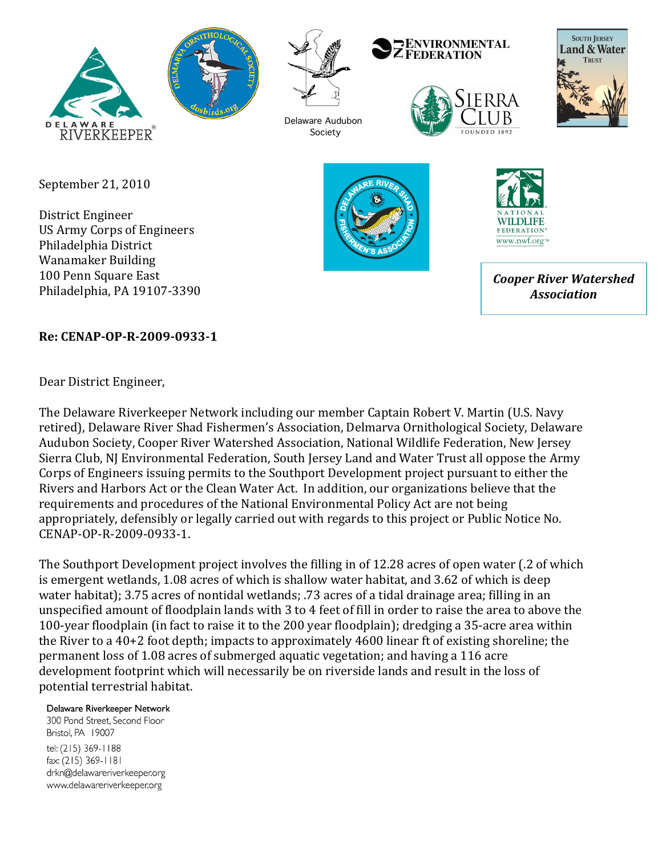





Delaware Audubon Society

#### **ENVIRONMENTAL ZFEDERATION**





September 21, 2010

District Engineer US Army Corps of Engineers Philadelphia District Wanamaker Building 100 Penn Square East Philadelphia, PA 19107-3390





*Cooper River Watershed Association*

## **Re:\$CENAP\*OP\*R\*2009\*0933\*1**

Dear District Engineer,

The Delaware Riverkeeper Network including our member Captain Robert V. Martin (U.S. Navy retired), Delaware River Shad Fishermen's Association, Delmarva Ornithological Society, Delaware Audubon Society, Cooper River Watershed Association, National Wildlife Federation, New Jersey Sierra Club, NJ Environmental Federation, South Jersey Land and Water Trust all oppose the Army Corps of Engineers issuing permits to the Southport Development project pursuant to either the Rivers and Harbors Act or the Clean Water Act. In addition, our organizations believe that the requirements and procedures of the National Environmental Policy Act are not being appropriately, defensibly or legally carried out with regards to this project or Public Notice No. CENAP-OP-R-2009-0933-1.

The Southport Development project involves the filling in of 12.28 acres of open water (.2 of which is emergent wetlands, 1.08 acres of which is shallow water habitat, and 3.62 of which is deep water habitat); 3.75 acres of nontidal wetlands; .73 acres of a tidal drainage area; filling in an unspecified amount of floodplain lands with 3 to 4 feet of fill in order to raise the area to above the 100-year floodplain (in fact to raise it to the 200 year floodplain); dredging a 35-acre area within the River to a  $40+2$  foot depth; impacts to approximately  $4600$  linear ft of existing shoreline; the permanent loss of 1.08 acres of submerged aquatic vegetation; and having a 116 acre development footprint which will necessarily be on riverside lands and result in the loss of potential terrestrial habitat.

#### Delaware Riverkeeper Network

300 Pond Street, Second Floor Bristol, PA 19007 tel: (215) 369-1188 fax: (215) 369-1181 drkn@delawareriverkeeper.org www.delawareriverkeeper.org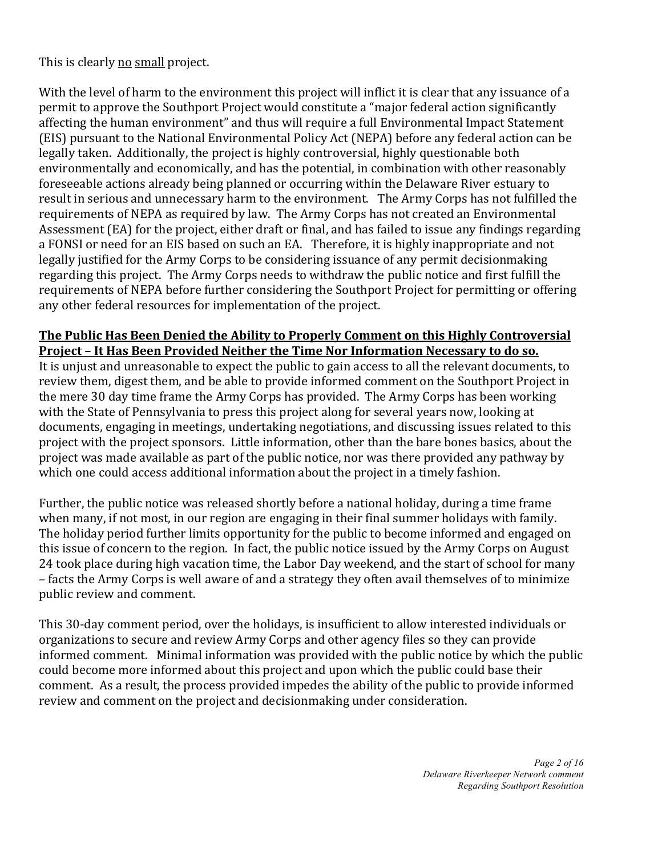This is clearly no small project.

With the level of harm to the environment this project will inflict it is clear that any issuance of a permit to approve the Southport Project would constitute a "major federal action significantly affecting the human environment" and thus will require a full Environmental Impact Statement (EIS) pursuant to the National Environmental Policy Act (NEPA) before any federal action can be legally taken. Additionally, the project is highly controversial, highly questionable both environmentally and economically, and has the potential, in combination with other reasonably fore seeable actions already being planned or occurring within the Delaware River estuary to result in serious and unnecessary harm to the environment. The Army Corps has not fulfilled the requirements of NEPA as required by law. The Army Corps has not created an Environmental Assessment (EA) for the project, either draft or final, and has failed to issue any findings regarding a FONSI or need for an EIS based on such an EA. Therefore, it is highly inappropriate and not legally justified for the Army Corps to be considering issuance of any permit decisionmaking regarding this project. The Army Corps needs to withdraw the public notice and first fulfill the requirements of NEPA before further considering the Southport Project for permitting or offering any other federal resources for implementation of the project.

#### **The Public Has Been Denied the Ability to Properly Comment on this Highly Controversial Project - It Has Been Provided Neither the Time Nor Information Necessary to do so.**

It is unjust and unreasonable to expect the public to gain access to all the relevant documents, to review them, digest them, and be able to provide informed comment on the Southport Project in the mere 30 day time frame the Army Corps has provided. The Army Corps has been working with the State of Pennsylvania to press this project along for several years now, looking at documents, engaging in meetings, undertaking negotiations, and discussing issues related to this project with the project sponsors. Little information, other than the bare bones basics, about the project was made available as part of the public notice, nor was there provided any pathway by which one could access additional information about the project in a timely fashion.

Further, the public notice was released shortly before a national holiday, during a time frame when many, if not most, in our region are engaging in their final summer holidays with family. The holiday period further limits opportunity for the public to become informed and engaged on this issue of concern to the region. In fact, the public notice issued by the Army Corps on August 24 took place during high vacation time, the Labor Day weekend, and the start of school for many – facts the Army Corps is well aware of and a strategy they often avail themselves of to minimize public review and comment.

This 30-day comment period, over the holidays, is insufficient to allow interested individuals or organizations to secure and review Army Corps and other agency files so they can provide informed comment. Minimal information was provided with the public notice by which the public could become more informed about this project and upon which the public could base their comment. As a result, the process provided impedes the ability of the public to provide informed review and comment on the project and decisionmaking under consideration.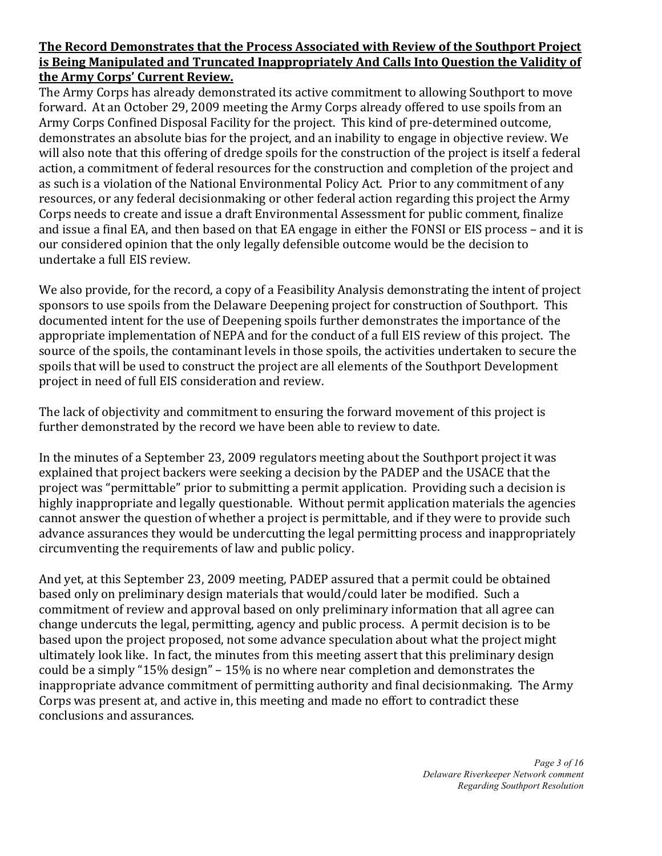#### **The Record Demonstrates that the Process Associated with Review of the Southport Project** is Being Manipulated and Truncated Inappropriately And Calls Into Question the Validity of the Army Corps' Current Review.

The Army Corps has already demonstrated its active commitment to allowing Southport to move forward. At an October 29, 2009 meeting the Army Corps already offered to use spoils from an Army Corps Confined Disposal Facility for the project. This kind of pre-determined outcome, demonstrates an absolute bias for the project, and an inability to engage in objective review. We will also note that this offering of dredge spoils for the construction of the project is itself a federal action, a commitment of federal resources for the construction and completion of the project and as such is a violation of the National Environmental Policy Act. Prior to any commitment of any resources, or any federal decisionmaking or other federal action regarding this project the Army Corps needs to create and issue a draft Environmental Assessment for public comment, finalize and issue a final EA, and then based on that EA engage in either the FONSI or EIS process – and it is our considered opinion that the only legally defensible outcome would be the decision to undertake a full EIS review.

We also provide, for the record, a copy of a Feasibility Analysis demonstrating the intent of project sponsors to use spoils from the Delaware Deepening project for construction of Southport. This documented intent for the use of Deepening spoils further demonstrates the importance of the appropriate implementation of NEPA and for the conduct of a full EIS review of this project. The source of the spoils, the contaminant levels in those spoils, the activities undertaken to secure the spoils that will be used to construct the project are all elements of the Southport Development project in need of full EIS consideration and review.

The lack of objectivity and commitment to ensuring the forward movement of this project is further demonstrated by the record we have been able to review to date.

In the minutes of a September 23, 2009 regulators meeting about the Southport project it was explained that project backers were seeking a decision by the PADEP and the USACE that the project was "permittable" prior to submitting a permit application. Providing such a decision is highly inappropriate and legally questionable. Without permit application materials the agencies cannot answer the question of whether a project is permittable, and if they were to provide such advance assurances they would be undercutting the legal permitting process and inappropriately circumventing the requirements of law and public policy.

And yet, at this September 23, 2009 meeting, PADEP assured that a permit could be obtained based only on preliminary design materials that would/could later be modified. Such a commitment of review and approval based on only preliminary information that all agree can change undercuts the legal, permitting, agency and public process. A permit decision is to be based upon the project proposed, not some advance speculation about what the project might ultimately look like. In fact, the minutes from this meeting assert that this preliminary design could be a simply "15% design" – 15% is no where near completion and demonstrates the inappropriate advance commitment of permitting authority and final decisionmaking. The Army Corps was present at, and active in, this meeting and made no effort to contradict these conclusions and assurances.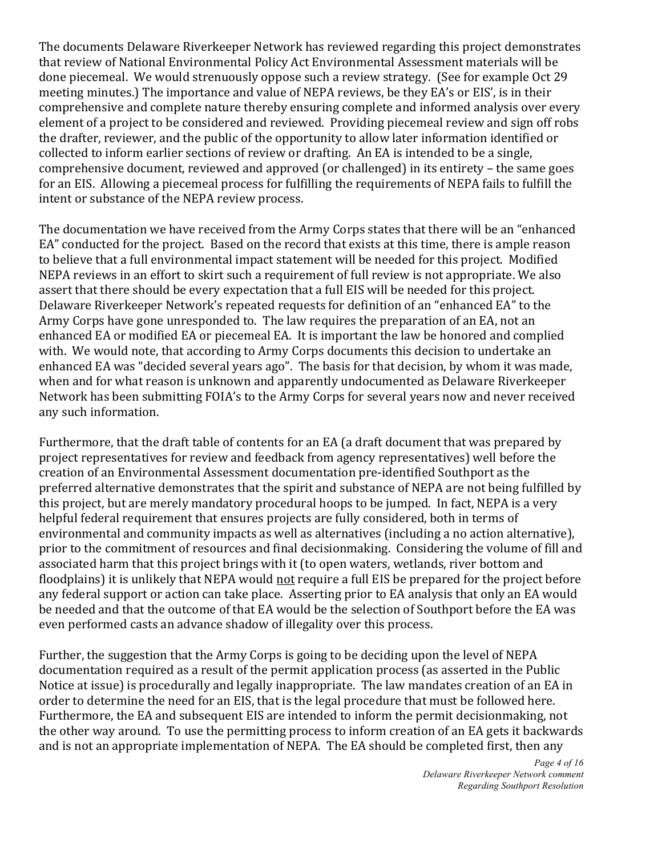The documents Delaware Riverkeeper Network has reviewed regarding this project demonstrates that review of National Environmental Policy Act Environmental Assessment materials will be done piecemeal. We would strenuously oppose such a review strategy. (See for example Oct 29 meeting minutes.) The importance and value of NEPA reviews, be they EA's or EIS', is in their comprehensive and complete nature thereby ensuring complete and informed analysis over every element of a project to be considered and reviewed. Providing piecemeal review and sign off robs the drafter, reviewer, and the public of the opportunity to allow later information identified or collected to inform earlier sections of review or drafting. An EA is intended to be a single, comprehensive document, reviewed and approved (or challenged) in its entirety – the same goes for an EIS. Allowing a piecemeal process for fulfilling the requirements of NEPA fails to fulfill the intent or substance of the NEPA review process.

The documentation we have received from the Army Corps states that there will be an "enhanced EA" conducted for the project. Based on the record that exists at this time, there is ample reason to believe that a full environmental impact statement will be needed for this project. Modified NEPA reviews in an effort to skirt such a requirement of full review is not appropriate. We also assert that there should be every expectation that a full EIS will be needed for this project. Delaware Riverkeeper Network's repeated requests for definition of an "enhanced EA" to the Army Corps have gone unresponded to. The law requires the preparation of an EA, not an enhanced EA or modified EA or piecemeal EA. It is important the law be honored and complied with. We would note, that according to Army Corps documents this decision to undertake an enhanced EA was "decided several years ago". The basis for that decision, by whom it was made, when and for what reason is unknown and apparently undocumented as Delaware Riverkeeper Network has been submitting FOIA's to the Army Corps for several years now and never received any such information.

Furthermore, that the draft table of contents for an EA (a draft document that was prepared by project representatives for review and feedback from agency representatives) well before the creation of an Environmental Assessment documentation pre-identified Southport as the preferred alternative demonstrates that the spirit and substance of NEPA are not being fulfilled by this project, but are merely mandatory procedural hoops to be jumped. In fact, NEPA is a very helpful federal requirement that ensures projects are fully considered, both in terms of environmental and community impacts as well as alternatives (including a no action alternative), prior to the commitment of resources and final decisionmaking. Considering the volume of fill and associated harm that this project brings with it (to open waters, wetlands, river bottom and floodplains) it is unlikely that NEPA would not require a full EIS be prepared for the project before any federal support or action can take place. Asserting prior to EA analysis that only an EA would be needed and that the outcome of that EA would be the selection of Southport before the EA was even performed casts an advance shadow of illegality over this process.

Further, the suggestion that the Army Corps is going to be deciding upon the level of NEPA documentation required as a result of the permit application process (as asserted in the Public Notice at issue) is procedurally and legally inappropriate. The law mandates creation of an EA in order to determine the need for an EIS, that is the legal procedure that must be followed here. Furthermore, the EA and subsequent EIS are intended to inform the permit decisionmaking, not the other way around. To use the permitting process to inform creation of an EA gets it backwards and is not an appropriate implementation of NEPA. The EA should be completed first, then any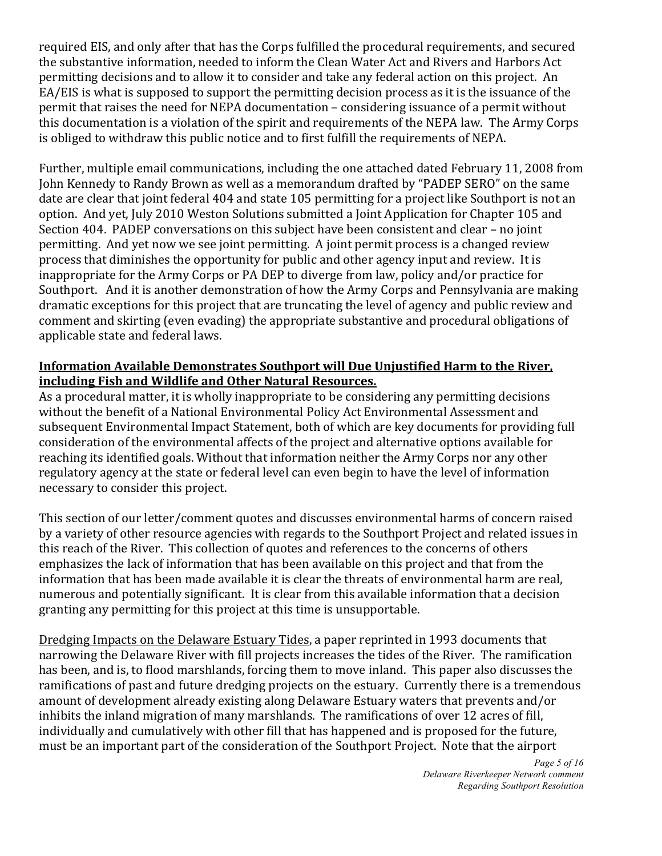required EIS, and only after that has the Corps fulfilled the procedural requirements, and secured the substantive information, needed to inform the Clean Water Act and Rivers and Harbors Act permitting decisions and to allow it to consider and take any federal action on this project. An EA/EIS is what is supposed to support the permitting decision process as it is the issuance of the permit that raises the need for NEPA documentation – considering issuance of a permit without this documentation is a violation of the spirit and requirements of the NEPA law. The Army Corps is obliged to withdraw this public notice and to first fulfill the requirements of NEPA.

Further, multiple email communications, including the one attached dated February 11, 2008 from John Kennedy to Randy Brown as well as a memorandum drafted by "PADEP SERO" on the same date are clear that joint federal 404 and state 105 permitting for a project like Southport is not an option. And yet, July 2010 Weston Solutions submitted a Joint Application for Chapter 105 and Section 404. PADEP conversations on this subject have been consistent and clear – no joint permitting. And yet now we see joint permitting. A joint permit process is a changed review process that diminishes the opportunity for public and other agency input and review. It is inappropriate for the Army Corps or PA DEP to diverge from law, policy and/or practice for Southport. And it is another demonstration of how the Army Corps and Pennsylvania are making dramatic exceptions for this project that are truncating the level of agency and public review and comment and skirting (even evading) the appropriate substantive and procedural obligations of applicable state and federal laws.

### Information Available Demonstrates Southport will Due Unjustified Harm to the River, **including Fish and Wildlife and Other Natural Resources.**

As a procedural matter, it is wholly inappropriate to be considering any permitting decisions without the benefit of a National Environmental Policy Act Environmental Assessment and subsequent Environmental Impact Statement, both of which are key documents for providing full consideration of the environmental affects of the project and alternative options available for reaching its identified goals. Without that information neither the Army Corps nor any other regulatory agency at the state or federal level can even begin to have the level of information necessary to consider this project.

This section of our letter/comment quotes and discusses environmental harms of concern raised by a variety of other resource agencies with regards to the Southport Project and related issues in this reach of the River. This collection of quotes and references to the concerns of others emphasizes the lack of information that has been available on this project and that from the information that has been made available it is clear the threats of environmental harm are real, numerous and potentially significant. It is clear from this available information that a decision granting any permitting for this project at this time is unsupportable.

Dredging Impacts on the Delaware Estuary Tides, a paper reprinted in 1993 documents that narrowing the Delaware River with fill projects increases the tides of the River. The ramification has been, and is, to flood marshlands, forcing them to move inland. This paper also discusses the ramifications of past and future dredging projects on the estuary. Currently there is a tremendous amount of development already existing along Delaware Estuary waters that prevents and/or inhibits the inland migration of many marshlands. The ramifications of over 12 acres of fill, individually and cumulatively with other fill that has happened and is proposed for the future, must be an important part of the consideration of the Southport Project. Note that the airport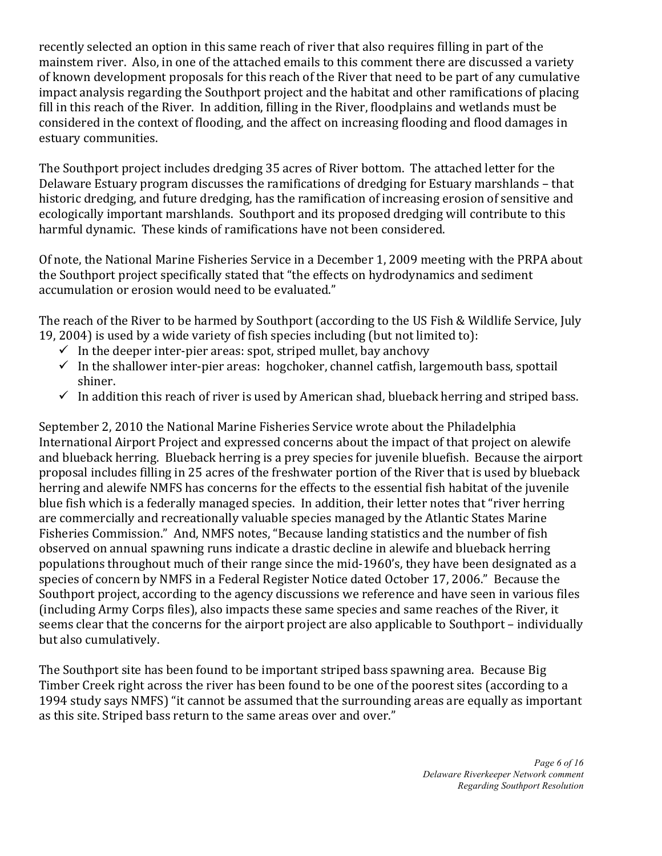recently selected an option in this same reach of river that also requires filling in part of the mainstem river. Also, in one of the attached emails to this comment there are discussed a variety of known development proposals for this reach of the River that need to be part of any cumulative impact analysis regarding the Southport project and the habitat and other ramifications of placing fill in this reach of the River. In addition, filling in the River, floodplains and wetlands must be considered in the context of flooding, and the affect on increasing flooding and flood damages in estuary communities.

The Southport project includes dredging 35 acres of River bottom. The attached letter for the Delaware Estuary program discusses the ramifications of dredging for Estuary marshlands – that historic dredging, and future dredging, has the ramification of increasing erosion of sensitive and ecologically important marshlands. Southport and its proposed dredging will contribute to this harmful dynamic. These kinds of ramifications have not been considered.

Of note, the National Marine Fisheries Service in a December 1, 2009 meeting with the PRPA about the Southport project specifically stated that "the effects on hydrodynamics and sediment accumulation or erosion would need to be evaluated."

The reach of the River to be harmed by Southport (according to the US Fish & Wildlife Service, July 19, 2004) is used by a wide variety of fish species including (but not limited to):

- $\checkmark$  In the deeper inter-pier areas: spot, striped mullet, bay anchovy
- $\checkmark$  In the shallower inter-pier areas: hogchoker, channel catfish, largemouth bass, spottail shiner.
- In addition this reach of river is used by American shad, blueback herring and striped bass.

September 2, 2010 the National Marine Fisheries Service wrote about the Philadelphia International Airport Project and expressed concerns about the impact of that project on alewife and blueback herring. Blueback herring is a prey species for juvenile bluefish. Because the airport proposal includes filling in 25 acres of the freshwater portion of the River that is used by blueback herring and alewife NMFS has concerns for the effects to the essential fish habitat of the juvenile blue fish which is a federally managed species. In addition, their letter notes that "river herring are commercially and recreationally valuable species managed by the Atlantic States Marine Fisheries Commission." And, NMFS notes, "Because landing statistics and the number of fish observed on annual spawning runs indicate a drastic decline in alewife and blueback herring populations throughout much of their range since the mid-1960's, they have been designated as a species of concern by NMFS in a Federal Register Notice dated October 17, 2006." Because the Southport project, according to the agency discussions we reference and have seen in various files (including Army Corps files), also impacts these same species and same reaches of the River, it seems clear that the concerns for the airport project are also applicable to Southport – individually but also cumulatively.

The Southport site has been found to be important striped bass spawning area. Because Big Timber Creek right across the river has been found to be one of the poorest sites (according to a 1994 study says NMFS) "it cannot be assumed that the surrounding areas are equally as important as this site. Striped bass return to the same areas over and over."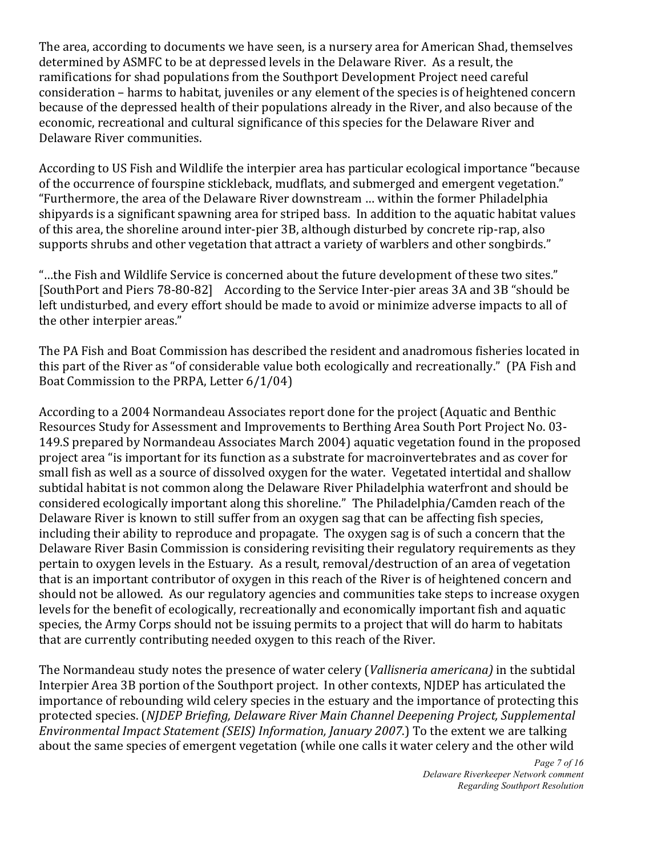The area, according to documents we have seen, is a nursery area for American Shad, themselves determined by ASMFC to be at depressed levels in the Delaware River. As a result, the ramifications for shad populations from the Southport Development Project need careful consideration – harms to habitat, juveniles or any element of the species is of heightened concern because of the depressed health of their populations already in the River, and also because of the economic, recreational and cultural significance of this species for the Delaware River and Delaware River communities.

According to US Fish and Wildlife the interpier area has particular ecological importance "because of the occurrence of fourspine stickleback, mudflats, and submerged and emergent vegetation." "Furthermore, the area of the Delaware River downstream ... within the former Philadelphia shipyards is a significant spawning area for striped bass. In addition to the aquatic habitat values of this area, the shoreline around inter-pier 3B, although disturbed by concrete rip-rap, also supports shrubs and other vegetation that attract a variety of warblers and other songbirds."

"...the Fish and Wildlife Service is concerned about the future development of these two sites." [SouthPort and Piers 78-80-82] According to the Service Inter-pier areas 3A and 3B "should be left undisturbed, and every effort should be made to avoid or minimize adverse impacts to all of the other interpier areas."

The PA Fish and Boat Commission has described the resident and anadromous fisheries located in this part of the River as "of considerable value both ecologically and recreationally." (PA Fish and Boat Commission to the PRPA, Letter 6/1/04).

According to a 2004 Normandeau Associates report done for the project (Aquatic and Benthic Resources Study for Assessment and Improvements to Berthing Area South Port Project No. 03-149.S prepared by Normandeau Associates March 2004) aquatic vegetation found in the proposed project area "is important for its function as a substrate for macroinvertebrates and as cover for small fish as well as a source of dissolved oxygen for the water. Vegetated intertidal and shallow subtidal habitat is not common along the Delaware River Philadelphia waterfront and should be considered ecologically important along this shoreline." The Philadelphia/Camden reach of the Delaware River is known to still suffer from an oxygen sag that can be affecting fish species, including their ability to reproduce and propagate. The oxygen sag is of such a concern that the Delaware River Basin Commission is considering revisiting their regulatory requirements as they pertain to oxygen levels in the Estuary. As a result, removal/destruction of an area of vegetation that is an important contributor of oxygen in this reach of the River is of heightened concern and should not be allowed. As our regulatory agencies and communities take steps to increase oxygen levels for the benefit of ecologically, recreationally and economically important fish and aquatic species, the Army Corps should not be issuing permits to a project that will do harm to habitats that are currently contributing needed oxygen to this reach of the River.

The Normandeau study notes the presence of water celery (*Vallisneria americana*) in the subtidal Interpier Area 3B portion of the Southport project. In other contexts, NJDEP has articulated the importance of rebounding wild celery species in the estuary and the importance of protecting this protected species. (*NJDEP Briefing, Delaware River Main Channel Deepening Project, Supplemental Environmental Impact Statement (SEIS) Information, January 2007*.) To the extent we are talking about the same species of emergent vegetation (while one calls it water celery and the other wild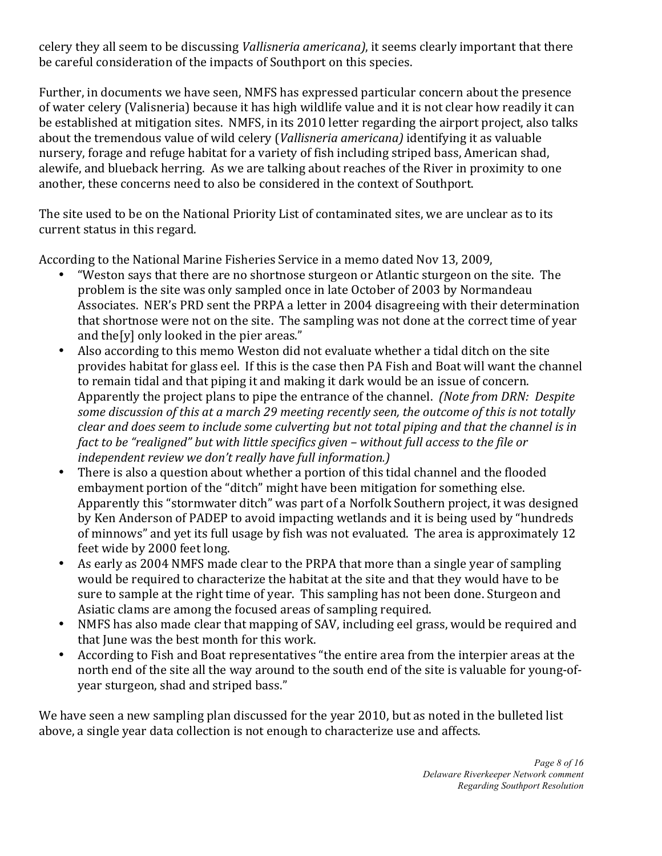celery they all seem to be discussing *Vallisneria americana*), it seems clearly important that there be careful consideration of the impacts of Southport on this species.

Further, in documents we have seen, NMFS has expressed particular concern about the presence of water celery (Valisneria) because it has high wildlife value and it is not clear how readily it can be established at mitigation sites. NMFS, in its 2010 letter regarding the airport project, also talks about the tremendous value of wild celery (*Vallisneria americana*) identifying it as valuable nursery, forage and refuge habitat for a variety of fish including striped bass, American shad, alewife, and blueback herring. As we are talking about reaches of the River in proximity to one another, these concerns need to also be considered in the context of Southport.

The site used to be on the National Priority List of contaminated sites, we are unclear as to its current status in this regard.

According to the National Marine Fisheries Service in a memo dated Nov 13, 2009,

- "Weston says that there are no shortnose sturgeon or Atlantic sturgeon on the site. The problem is the site was only sampled once in late October of 2003 by Normandeau Associates. NER's PRD sent the PRPA a letter in 2004 disagreeing with their determination that shortnose were not on the site. The sampling was not done at the correct time of year and the[y] only looked in the pier areas."
- Also according to this memo Weston did not evaluate whether a tidal ditch on the site provides habitat for glass eel. If this is the case then PA Fish and Boat will want the channel to remain tidal and that piping it and making it dark would be an issue of concern. Apparently the project plans to pipe the entrance of the channel. *(Note from DRN: Despite*) some discussion of this at a march 29 meeting recently seen, the outcome of this is not totally *clear)and)does)seem)to)include)some)culverting)but)not)total)piping)and)that)the)channel)is)in)* fact to be "realigned" but with little specifics given – without full access to the file or independent review we don't really have full information.)
- There is also a question about whether a portion of this tidal channel and the flooded embayment portion of the "ditch" might have been mitigation for something else. Apparently this "stormwater ditch" was part of a Norfolk Southern project, it was designed by Ken Anderson of PADEP to avoid impacting wetlands and it is being used by "hundreds" of minnows" and yet its full usage by fish was not evaluated. The area is approximately 12 feet wide by 2000 feet long.
- As early as 2004 NMFS made clear to the PRPA that more than a single year of sampling would be required to characterize the habitat at the site and that they would have to be sure to sample at the right time of year. This sampling has not been done. Sturgeon and Asiatic clams are among the focused areas of sampling required.
- NMFS has also made clear that mapping of SAV, including eel grass, would be required and that June was the best month for this work.
- According to Fish and Boat representatives "the entire area from the interpier areas at the north end of the site all the way around to the south end of the site is valuable for young-ofyear sturgeon, shad and striped bass."

We have seen a new sampling plan discussed for the year 2010, but as noted in the bulleted list above, a single year data collection is not enough to characterize use and affects.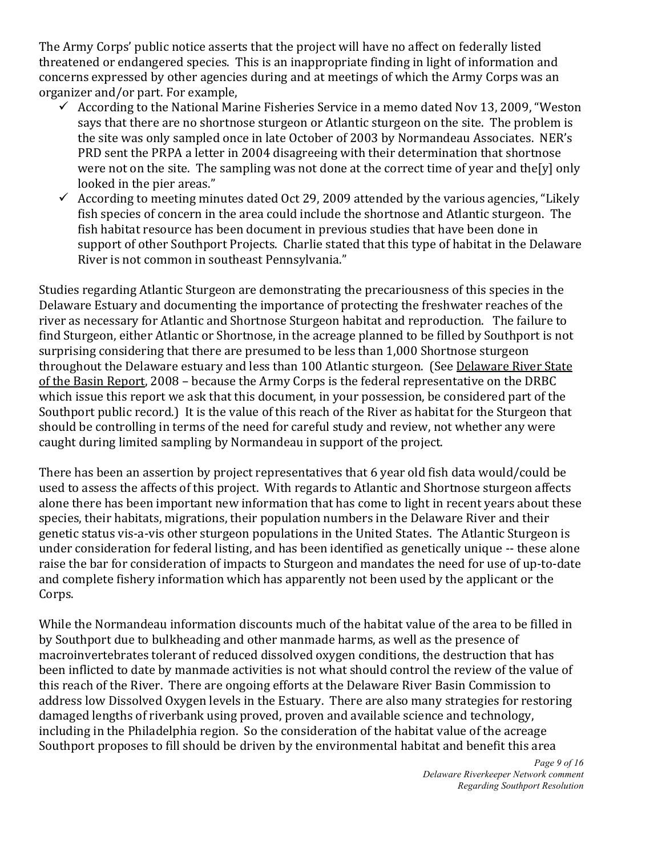The Army Corps' public notice asserts that the project will have no affect on federally listed threatened or endangered species. This is an inappropriate finding in light of information and concerns expressed by other agencies during and at meetings of which the Army Corps was an organizer and/or part. For example,

- $\checkmark$  According to the National Marine Fisheries Service in a memo dated Nov 13, 2009, "Weston" says that there are no shortnose sturgeon or Atlantic sturgeon on the site. The problem is the site was only sampled once in late October of 2003 by Normandeau Associates. NER's PRD sent the PRPA a letter in 2004 disagreeing with their determination that shortnose were not on the site. The sampling was not done at the correct time of year and the[y] only looked in the pier areas."
- $\checkmark$  According to meeting minutes dated Oct 29, 2009 attended by the various agencies, "Likely" fish species of concern in the area could include the shortnose and Atlantic sturgeon. The fish habitat resource has been document in previous studies that have been done in support of other Southport Projects. Charlie stated that this type of habitat in the Delaware River is not common in southeast Pennsylvania."

Studies regarding Atlantic Sturgeon are demonstrating the precariousness of this species in the Delaware Estuary and documenting the importance of protecting the freshwater reaches of the river as necessary for Atlantic and Shortnose Sturgeon habitat and reproduction. The failure to find Sturgeon, either Atlantic or Shortnose, in the acreage planned to be filled by Southport is not surprising considering that there are presumed to be less than 1,000 Shortnose sturgeon throughout the Delaware estuary and less than 100 Atlantic sturgeon. (See Delaware River State of the Basin Report, 2008 – because the Army Corps is the federal representative on the DRBC which issue this report we ask that this document, in your possession, be considered part of the Southport public record.) It is the value of this reach of the River as habitat for the Sturgeon that should be controlling in terms of the need for careful study and review, not whether any were caught during limited sampling by Normandeau in support of the project.

There has been an assertion by project representatives that 6 year old fish data would/could be used to assess the affects of this project. With regards to Atlantic and Shortnose sturgeon affects alone there has been important new information that has come to light in recent years about these species, their habitats, migrations, their population numbers in the Delaware River and their genetic status vis-a-vis other sturgeon populations in the United States. The Atlantic Sturgeon is under consideration for federal listing, and has been identified as genetically unique -- these alone raise the bar for consideration of impacts to Sturgeon and mandates the need for use of up-to-date and complete fishery information which has apparently not been used by the applicant or the Corps.

While the Normandeau information discounts much of the habitat value of the area to be filled in by Southport due to bulkheading and other manmade harms, as well as the presence of macroinvertebrates tolerant of reduced dissolved oxygen conditions, the destruction that has been inflicted to date by manmade activities is not what should control the review of the value of this reach of the River. There are ongoing efforts at the Delaware River Basin Commission to address low Dissolved Oxygen levels in the Estuary. There are also many strategies for restoring damaged lengths of riverbank using proved, proven and available science and technology, including in the Philadelphia region. So the consideration of the habitat value of the acreage Southport proposes to fill should be driven by the environmental habitat and benefit this area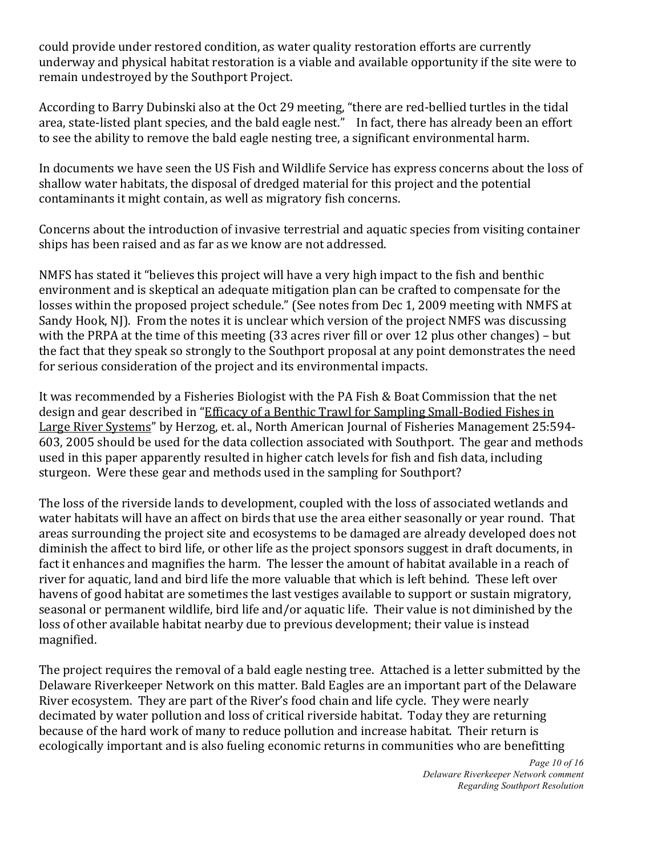could provide under restored condition, as water quality restoration efforts are currently underway and physical habitat restoration is a viable and available opportunity if the site were to remain undestroyed by the Southport Project.

According to Barry Dubinski also at the Oct 29 meeting, "there are red-bellied turtles in the tidal area, state-listed plant species, and the bald eagle nest." In fact, there has already been an effort to see the ability to remove the bald eagle nesting tree, a significant environmental harm.

In documents we have seen the US Fish and Wildlife Service has express concerns about the loss of shallow water habitats, the disposal of dredged material for this project and the potential contaminants it might contain, as well as migratory fish concerns.

Concerns about the introduction of invasive terrestrial and aquatic species from visiting container ships has been raised and as far as we know are not addressed.

NMFS has stated it "believes this project will have a very high impact to the fish and benthic environment and is skeptical an adequate mitigation plan can be crafted to compensate for the losses within the proposed project schedule." (See notes from Dec 1, 2009 meeting with NMFS at Sandy Hook, NJ). From the notes it is unclear which version of the project NMFS was discussing with the PRPA at the time of this meeting (33 acres river fill or over 12 plus other changes) – but the fact that they speak so strongly to the Southport proposal at any point demonstrates the need for serious consideration of the project and its environmental impacts.

It was recommended by a Fisheries Biologist with the PA Fish & Boat Commission that the net design and gear described in "Efficacy of a Benthic Trawl for Sampling Small-Bodied Fishes in Large River Systems" by Herzog, et. al., North American Journal of Fisheries Management 25:594-603, 2005 should be used for the data collection associated with Southport. The gear and methods used in this paper apparently resulted in higher catch levels for fish and fish data, including sturgeon. Were these gear and methods used in the sampling for Southport?

The loss of the riverside lands to development, coupled with the loss of associated wetlands and water habitats will have an affect on birds that use the area either seasonally or year round. That areas surrounding the project site and ecosystems to be damaged are already developed does not diminish the affect to bird life, or other life as the project sponsors suggest in draft documents, in fact it enhances and magnifies the harm. The lesser the amount of habitat available in a reach of river for aquatic, land and bird life the more valuable that which is left behind. These left over havens of good habitat are sometimes the last vestiges available to support or sustain migratory, seasonal or permanent wildlife, bird life and/or aquatic life. Their value is not diminished by the loss of other available habitat nearby due to previous development; their value is instead magnified.

The project requires the removal of a bald eagle nesting tree. Attached is a letter submitted by the Delaware Riverkeeper Network on this matter. Bald Eagles are an important part of the Delaware River ecosystem. They are part of the River's food chain and life cycle. They were nearly decimated by water pollution and loss of critical riverside habitat. Today they are returning because of the hard work of many to reduce pollution and increase habitat. Their return is ecologically important and is also fueling economic returns in communities who are benefitting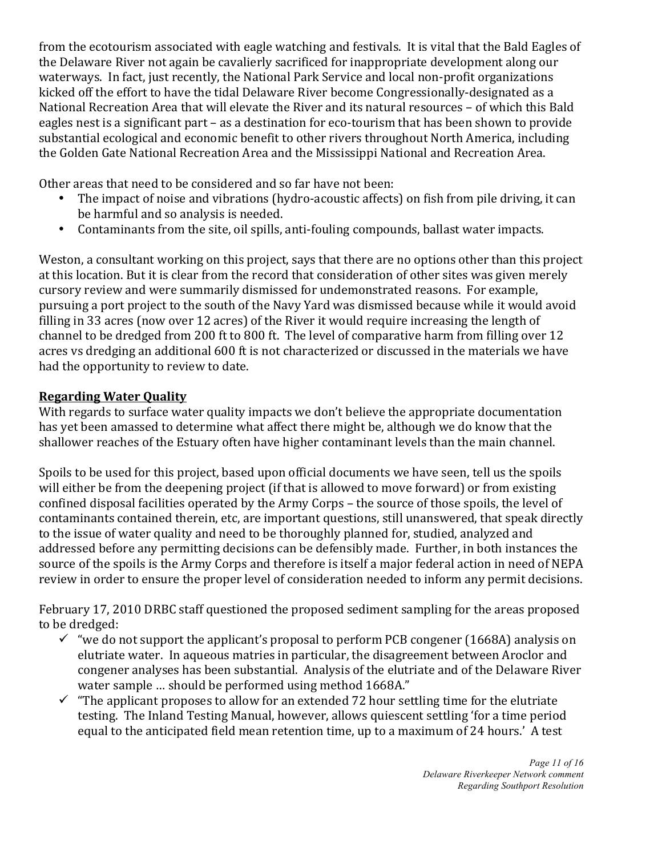from the ecotourism associated with eagle watching and festivals. It is vital that the Bald Eagles of the Delaware River not again be cavalierly sacrificed for inappropriate development along our waterways. In fact, just recently, the National Park Service and local non-profit organizations kicked off the effort to have the tidal Delaware River become Congressionally-designated as a National Recreation Area that will elevate the River and its natural resources – of which this Bald eagles nest is a significant part – as a destination for eco-tourism that has been shown to provide substantial ecological and economic benefit to other rivers throughout North America, including the Golden Gate National Recreation Area and the Mississippi National and Recreation Area.

Other areas that need to be considered and so far have not been:

- The impact of noise and vibrations (hydro-acoustic affects) on fish from pile driving, it can be harmful and so analysis is needed.
- Contaminants from the site, oil spills, anti-fouling compounds, ballast water impacts.

Weston, a consultant working on this project, says that there are no options other than this project at this location. But it is clear from the record that consideration of other sites was given merely cursory review and were summarily dismissed for undemonstrated reasons. For example, pursuing a port project to the south of the Navy Yard was dismissed because while it would avoid filling in 33 acres (now over 12 acres) of the River it would require increasing the length of channel to be dredged from 200 ft to 800 ft. The level of comparative harm from filling over 12 acres vs dredging an additional 600 ft is not characterized or discussed in the materials we have had the opportunity to review to date.

# **Regarding Water Quality**

With regards to surface water quality impacts we don't believe the appropriate documentation has yet been amassed to determine what affect there might be, although we do know that the shallower reaches of the Estuary often have higher contaminant levels than the main channel.

Spoils to be used for this project, based upon official documents we have seen, tell us the spoils will either be from the deepening project (if that is allowed to move forward) or from existing confined disposal facilities operated by the Army Corps – the source of those spoils, the level of contaminants contained therein, etc, are important questions, still unanswered, that speak directly to the issue of water quality and need to be thoroughly planned for, studied, analyzed and addressed before any permitting decisions can be defensibly made. Further, in both instances the source of the spoils is the Army Corps and therefore is itself a major federal action in need of NEPA review in order to ensure the proper level of consideration needed to inform any permit decisions.

February 17, 2010 DRBC staff questioned the proposed sediment sampling for the areas proposed to be dredged:

- $\checkmark$  "we do not support the applicant's proposal to perform PCB congener (1668A) analysis on elutriate water. In aqueous matries in particular, the disagreement between Aroclor and congener analyses has been substantial. Analysis of the elutriate and of the Delaware River water sample ... should be performed using method 1668A."
- $\checkmark$  "The applicant proposes to allow for an extended 72 hour settling time for the elutriate testing. The Inland Testing Manual, however, allows quiescent settling 'for a time period equal to the anticipated field mean retention time, up to a maximum of 24 hours.' A test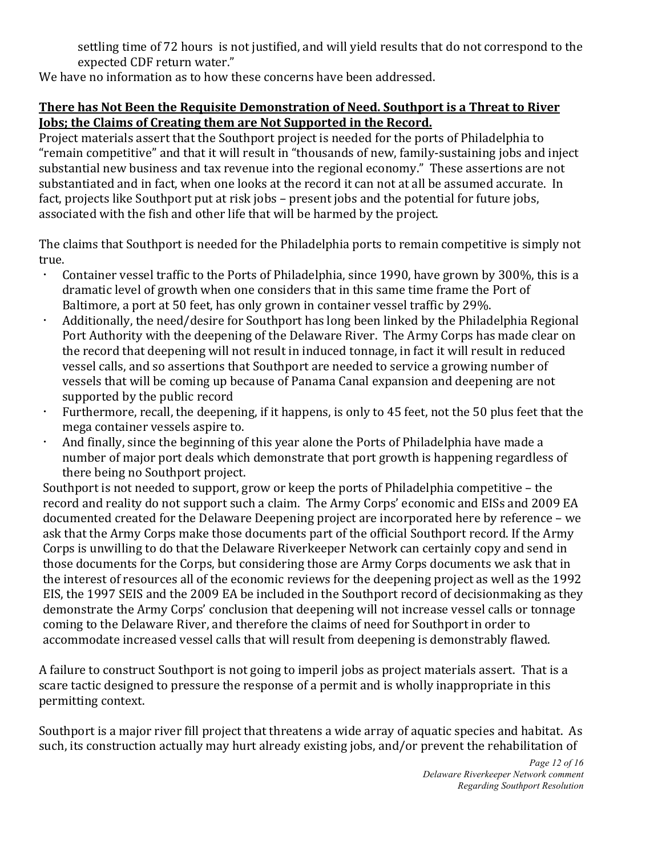settling time of 72 hours is not justified, and will yield results that do not correspond to the expected CDF return water."

We have no information as to how these concerns have been addressed.

# **There has Not Been the Requisite Demonstration of Need. Southport is a Threat to River Jobs; the Claims of Creating them are Not Supported in the Record.**

Project materials assert that the Southport project is needed for the ports of Philadelphia to "remain competitive" and that it will result in "thousands of new, family-sustaining jobs and inject substantial new business and tax revenue into the regional economy." These assertions are not substantiated and in fact, when one looks at the record it can not at all be assumed accurate. In fact, projects like Southport put at risk jobs – present jobs and the potential for future jobs, associated with the fish and other life that will be harmed by the project.

The claims that Southport is needed for the Philadelphia ports to remain competitive is simply not true.

- Container vessel traffic to the Ports of Philadelphia, since 1990, have grown by 300%, this is a dramatic level of growth when one considers that in this same time frame the Port of Baltimore, a port at 50 feet, has only grown in container vessel traffic by 29%.
- Additionally, the need/desire for Southport has long been linked by the Philadelphia Regional Port Authority with the deepening of the Delaware River. The Army Corps has made clear on the record that deepening will not result in induced tonnage, in fact it will result in reduced vessel calls, and so assertions that Southport are needed to service a growing number of vessels that will be coming up because of Panama Canal expansion and deepening are not supported by the public record
- Furthermore, recall, the deepening, if it happens, is only to 45 feet, not the 50 plus feet that the mega container vessels aspire to.
- And finally, since the beginning of this year alone the Ports of Philadelphia have made a number of major port deals which demonstrate that port growth is happening regardless of there being no Southport project.

Southport is not needed to support, grow or keep the ports of Philadelphia competitive – the record and reality do not support such a claim. The Army Corps' economic and EISs and 2009 EA documented created for the Delaware Deepening project are incorporated here by reference – we ask that the Army Corps make those documents part of the official Southport record. If the Army Corps is unwilling to do that the Delaware Riverkeeper Network can certainly copy and send in those documents for the Corps, but considering those are Army Corps documents we ask that in the interest of resources all of the economic reviews for the deepening project as well as the 1992 EIS, the 1997 SEIS and the 2009 EA be included in the Southport record of decisionmaking as they demonstrate the Army Corps' conclusion that deepening will not increase vessel calls or tonnage coming to the Delaware River, and therefore the claims of need for Southport in order to accommodate increased vessel calls that will result from deepening is demonstrably flawed.

A failure to construct Southport is not going to imperil jobs as project materials assert. That is a scare tactic designed to pressure the response of a permit and is wholly inappropriate in this permitting context.

Southport is a major river fill project that threatens a wide array of aquatic species and habitat. As such, its construction actually may hurt already existing jobs, and/or prevent the rehabilitation of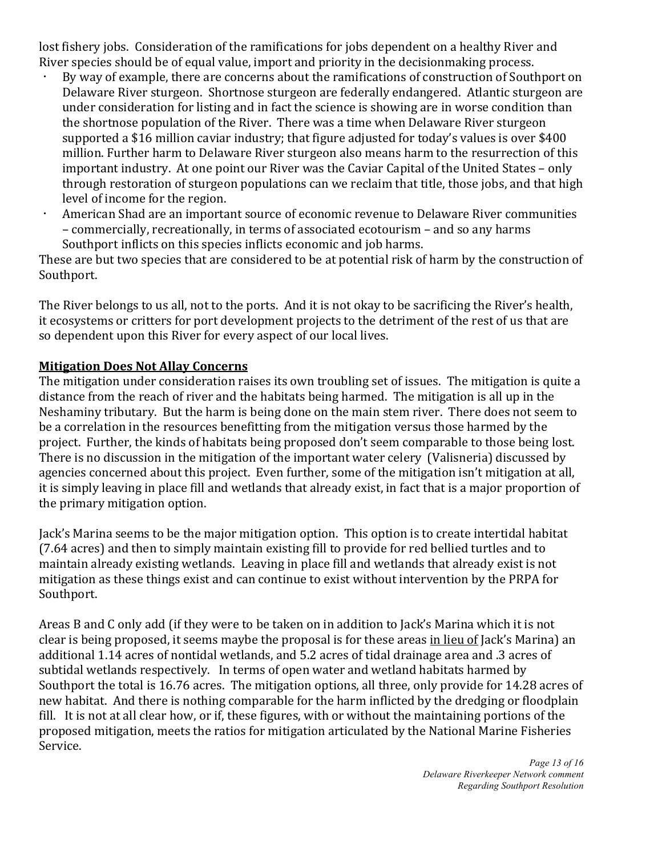lost fishery jobs. Consideration of the ramifications for jobs dependent on a healthy River and River species should be of equal value, import and priority in the decisionmaking process.

- By way of example, there are concerns about the ramifications of construction of Southport on Delaware River sturgeon. Shortnose sturgeon are federally endangered. Atlantic sturgeon are under consideration for listing and in fact the science is showing are in worse condition than the shortnose population of the River. There was a time when Delaware River sturgeon supported a \$16 million caviar industry; that figure adjusted for today's values is over \$400 million. Further harm to Delaware River sturgeon also means harm to the resurrection of this important industry. At one point our River was the Caviar Capital of the United States – only through restoration of sturgeon populations can we reclaim that title, those jobs, and that high level of income for the region.
- American Shad are an important source of economic revenue to Delaware River communities – commercially, recreationally, in terms of associated ecotourism – and so any harms Southport inflicts on this species inflicts economic and job harms.

These are but two species that are considered to be at potential risk of harm by the construction of Southport.

The River belongs to us all, not to the ports. And it is not okay to be sacrificing the River's health, it ecosystems or critters for port development projects to the detriment of the rest of us that are so dependent upon this River for every aspect of our local lives.

### **Mitigation Does Not Allay Concerns**

The mitigation under consideration raises its own troubling set of issues. The mitigation is quite a distance from the reach of river and the habitats being harmed. The mitigation is all up in the Neshaminy tributary. But the harm is being done on the main stem river. There does not seem to be a correlation in the resources benefitting from the mitigation versus those harmed by the project. Further, the kinds of habitats being proposed don't seem comparable to those being lost. There is no discussion in the mitigation of the important water celery (Valisneria) discussed by agencies concerned about this project. Even further, some of the mitigation isn't mitigation at all, it is simply leaving in place fill and wetlands that already exist, in fact that is a major proportion of the primary mitigation option.

Jack's Marina seems to be the major mitigation option. This option is to create intertidal habitat (7.64 acres) and then to simply maintain existing fill to provide for red bellied turtles and to maintain already existing wetlands. Leaving in place fill and wetlands that already exist is not mitigation as these things exist and can continue to exist without intervention by the PRPA for Southport.

Areas B and C only add (if they were to be taken on in addition to Jack's Marina which it is not clear is being proposed, it seems maybe the proposal is for these areas in lieu of Jack's Marina) an additional 1.14 acres of nontidal wetlands, and 5.2 acres of tidal drainage area and .3 acres of subtidal wetlands respectively. In terms of open water and wetland habitats harmed by Southport the total is 16.76 acres. The mitigation options, all three, only provide for 14.28 acres of new habitat. And there is nothing comparable for the harm inflicted by the dredging or floodplain fill. It is not at all clear how, or if, these figures, with or without the maintaining portions of the proposed mitigation, meets the ratios for mitigation articulated by the National Marine Fisheries Service.

> *Page 13 of 16 Delaware Riverkeeper Network comment Regarding Southport Resolution*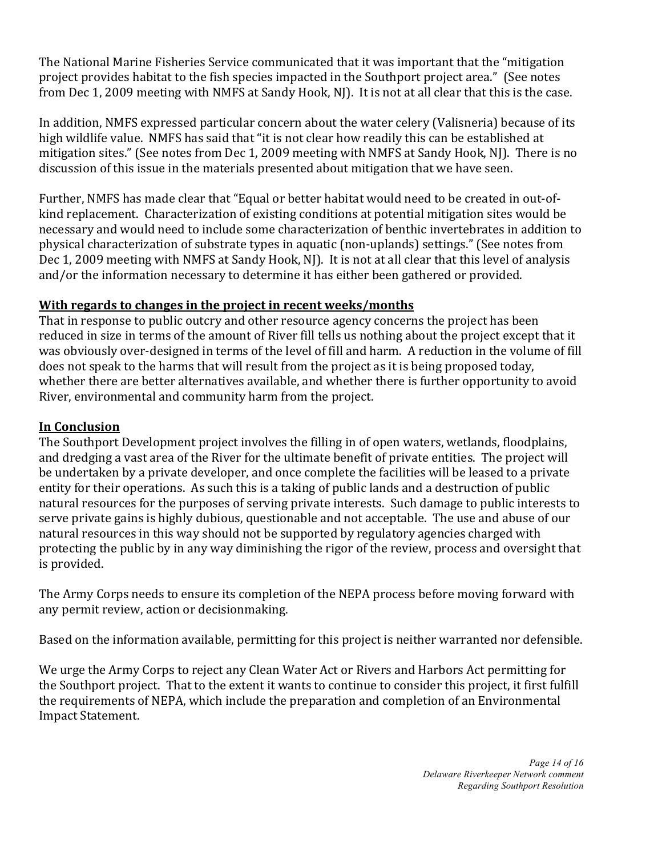The National Marine Fisheries Service communicated that it was important that the "mitigation" project provides habitat to the fish species impacted in the Southport project area." (See notes from Dec 1, 2009 meeting with NMFS at Sandy Hook, NJ). It is not at all clear that this is the case.

In addition, NMFS expressed particular concern about the water celery (Valisneria) because of its high wildlife value. NMFS has said that "it is not clear how readily this can be established at mitigation sites." (See notes from Dec 1, 2009 meeting with NMFS at Sandy Hook, NJ). There is no discussion of this issue in the materials presented about mitigation that we have seen.

Further, NMFS has made clear that "Equal or better habitat would need to be created in out-ofkind replacement. Characterization of existing conditions at potential mitigation sites would be necessary and would need to include some characterization of benthic invertebrates in addition to physical characterization of substrate types in aquatic (non-uplands) settings." (See notes from Dec 1, 2009 meeting with NMFS at Sandy Hook, NJ). It is not at all clear that this level of analysis and/or the information necessary to determine it has either been gathered or provided.

# With regards to changes in the project in recent weeks/months

That in response to public outcry and other resource agency concerns the project has been reduced in size in terms of the amount of River fill tells us nothing about the project except that it was obviously over-designed in terms of the level of fill and harm. A reduction in the volume of fill does not speak to the harms that will result from the project as it is being proposed today, whether there are better alternatives available, and whether there is further opportunity to avoid River, environmental and community harm from the project.

# **In Conclusion**

The Southport Development project involves the filling in of open waters, wetlands, floodplains, and dredging a vast area of the River for the ultimate benefit of private entities. The project will be undertaken by a private developer, and once complete the facilities will be leased to a private entity for their operations. As such this is a taking of public lands and a destruction of public natural resources for the purposes of serving private interests. Such damage to public interests to serve private gains is highly dubious, questionable and not acceptable. The use and abuse of our natural resources in this way should not be supported by regulatory agencies charged with protecting the public by in any way diminishing the rigor of the review, process and oversight that is provided.

The Army Corps needs to ensure its completion of the NEPA process before moving forward with any permit review, action or decisionmaking.

Based on the information available, permitting for this project is neither warranted nor defensible.

We urge the Army Corps to reject any Clean Water Act or Rivers and Harbors Act permitting for the Southport project. That to the extent it wants to continue to consider this project, it first fulfill the requirements of NEPA, which include the preparation and completion of an Environmental **Impact Statement.**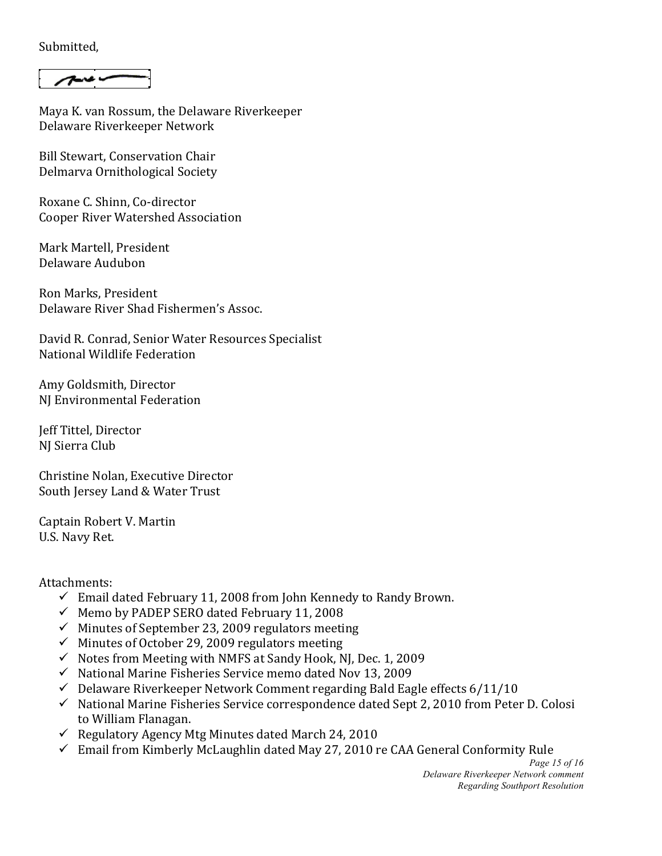Submitted,

 $7 - 4$ 

Maya K. van Rossum, the Delaware Riverkeeper Delaware Riverkeeper Network

Bill Stewart, Conservation Chair Delmarva Ornithological Society

Roxane C. Shinn, Co-director Cooper River Watershed Association

Mark Martell, President Delaware!Audubon

Ron!Marks,!President Delaware River Shad Fishermen's Assoc.

David R. Conrad, Senior Water Resources Specialist National Wildlife Federation

Amy Goldsmith, Director NJ Environmental Federation

Jeff!Tittel,!Director NJ Sierra Club

Christine Nolan, Executive Director South Jersey Land & Water Trust

Captain Robert V. Martin U.S. Navy Ret.

Attachments:

- $\checkmark$  Email dated February 11, 2008 from John Kennedy to Randy Brown.
- $\checkmark$  Memo by PADEP SERO dated February 11, 2008
- $\checkmark$  Minutes of September 23, 2009 regulators meeting
- $\checkmark$  Minutes of October 29, 2009 regulators meeting
- $\checkmark$  Notes from Meeting with NMFS at Sandy Hook, NJ, Dec. 1, 2009
- $\checkmark$  National Marine Fisheries Service memo dated Nov 13, 2009
- $\checkmark$  Delaware Riverkeeper Network Comment regarding Bald Eagle effects 6/11/10
- $\checkmark$  National Marine Fisheries Service correspondence dated Sept 2, 2010 from Peter D. Colosi to William Flanagan.
- Regulatory Agency Mtg Minutes dated March 24, 2010
- $\checkmark$  Email from Kimberly McLaughlin dated May 27, 2010 re CAA General Conformity Rule

*Page 15 of 16 Delaware Riverkeeper Network comment Regarding Southport Resolution*